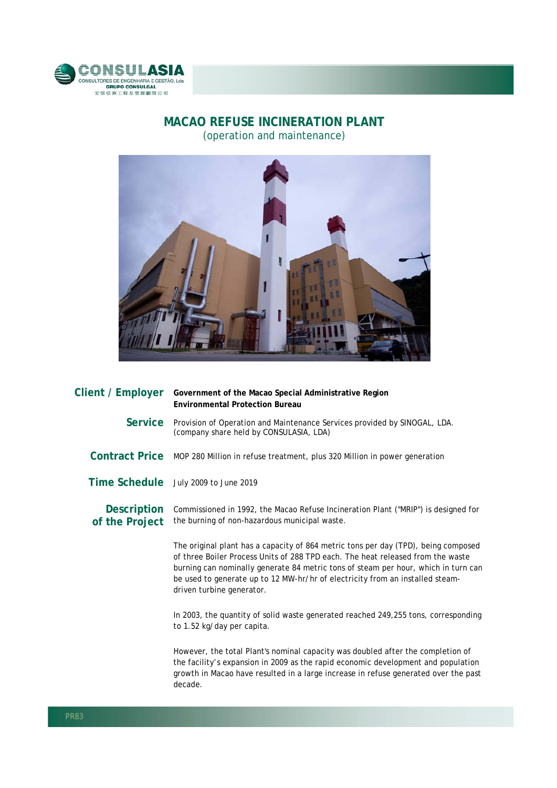

## **MACAO REFUSE INCINERATION PLANT**  (operation and maintenance)



| Client / Employer                    | Government of the Macao Special Administrative Region<br><b>Environmental Protection Bureau</b>                                                                                                                                                                                                                                                                           |
|--------------------------------------|---------------------------------------------------------------------------------------------------------------------------------------------------------------------------------------------------------------------------------------------------------------------------------------------------------------------------------------------------------------------------|
| Service                              | Provision of Operation and Maintenance Services provided by SINOGAL, LDA.<br>(company share held by CONSULASIA, LDA)                                                                                                                                                                                                                                                      |
|                                      | Contract Price MOP 280 Million in refuse treatment, plus 320 Million in power generation                                                                                                                                                                                                                                                                                  |
|                                      | Time Schedule July 2009 to June 2019                                                                                                                                                                                                                                                                                                                                      |
| <b>Description</b><br>of the Project | Commissioned in 1992, the Macao Refuse Incineration Plant ("MRIP") is designed for<br>the burning of non-hazardous municipal waste.                                                                                                                                                                                                                                       |
|                                      | The original plant has a capacity of 864 metric tons per day (TPD), being composed<br>of three Boiler Process Units of 288 TPD each. The heat released from the waste<br>burning can nominally generate 84 metric tons of steam per hour, which in turn can<br>be used to generate up to 12 MW-hr/hr of electricity from an installed steam-<br>driven turbine generator. |
|                                      | In 2003, the quantity of solid waste generated reached 249,255 tons, corresponding<br>to 1.52 kg/day per capita.                                                                                                                                                                                                                                                          |
|                                      | However, the total Plant's nominal capacity was doubled after the completion of<br>the facility's expansion in 2009 as the rapid economic development and population                                                                                                                                                                                                      |

the facility's expansion in 2009 as the rapid economic development and population growth in Macao have resulted in a large increase in refuse generated over the past decade.